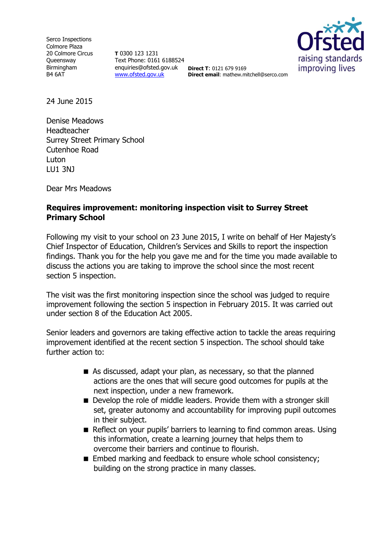Serco Inspections Colmore Plaza 20 Colmore Circus **Oueensway** Birmingham B4 6AT

**T** 0300 123 1231 Text Phone: 0161 6188524 enquiries@ofsted.gov.uk **Direct T**: 0121 679 9169 [www.ofsted.gov.uk](http://www.ofsted.gov.uk/)



**Direct email**: mathew.mitchell@serco.com

24 June 2015

Denise Meadows Headteacher Surrey Street Primary School Cutenhoe Road Luton LU1 3NJ

Dear Mrs Meadows

## **Requires improvement: monitoring inspection visit to Surrey Street Primary School**

Following my visit to your school on 23 June 2015, I write on behalf of Her Majesty's Chief Inspector of Education, Children's Services and Skills to report the inspection findings. Thank you for the help you gave me and for the time you made available to discuss the actions you are taking to improve the school since the most recent section 5 inspection.

The visit was the first monitoring inspection since the school was judged to require improvement following the section 5 inspection in February 2015. It was carried out under section 8 of the Education Act 2005.

Senior leaders and governors are taking effective action to tackle the areas requiring improvement identified at the recent section 5 inspection. The school should take further action to:

- As discussed, adapt your plan, as necessary, so that the planned actions are the ones that will secure good outcomes for pupils at the next inspection, under a new framework.
- Develop the role of middle leaders. Provide them with a stronger skill set, greater autonomy and accountability for improving pupil outcomes in their subject.
- Reflect on your pupils' barriers to learning to find common areas. Using this information, create a learning journey that helps them to overcome their barriers and continue to flourish.
- Embed marking and feedback to ensure whole school consistency; building on the strong practice in many classes.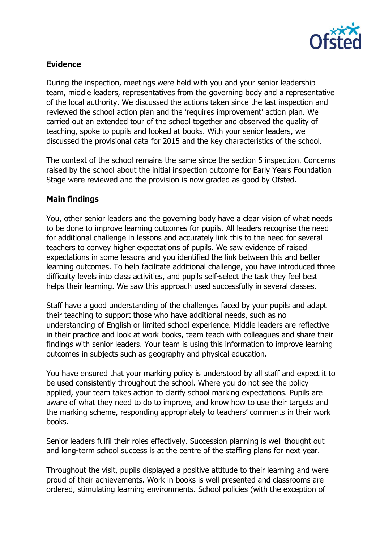

## **Evidence**

During the inspection, meetings were held with you and your senior leadership team, middle leaders, representatives from the governing body and a representative of the local authority. We discussed the actions taken since the last inspection and reviewed the school action plan and the 'requires improvement' action plan. We carried out an extended tour of the school together and observed the quality of teaching, spoke to pupils and looked at books. With your senior leaders, we discussed the provisional data for 2015 and the key characteristics of the school.

The context of the school remains the same since the section 5 inspection. Concerns raised by the school about the initial inspection outcome for Early Years Foundation Stage were reviewed and the provision is now graded as good by Ofsted.

## **Main findings**

You, other senior leaders and the governing body have a clear vision of what needs to be done to improve learning outcomes for pupils. All leaders recognise the need for additional challenge in lessons and accurately link this to the need for several teachers to convey higher expectations of pupils. We saw evidence of raised expectations in some lessons and you identified the link between this and better learning outcomes. To help facilitate additional challenge, you have introduced three difficulty levels into class activities, and pupils self-select the task they feel best helps their learning. We saw this approach used successfully in several classes.

Staff have a good understanding of the challenges faced by your pupils and adapt their teaching to support those who have additional needs, such as no understanding of English or limited school experience. Middle leaders are reflective in their practice and look at work books, team teach with colleagues and share their findings with senior leaders. Your team is using this information to improve learning outcomes in subjects such as geography and physical education.

You have ensured that your marking policy is understood by all staff and expect it to be used consistently throughout the school. Where you do not see the policy applied, your team takes action to clarify school marking expectations. Pupils are aware of what they need to do to improve, and know how to use their targets and the marking scheme, responding appropriately to teachers' comments in their work books.

Senior leaders fulfil their roles effectively. Succession planning is well thought out and long-term school success is at the centre of the staffing plans for next year.

Throughout the visit, pupils displayed a positive attitude to their learning and were proud of their achievements. Work in books is well presented and classrooms are ordered, stimulating learning environments. School policies (with the exception of